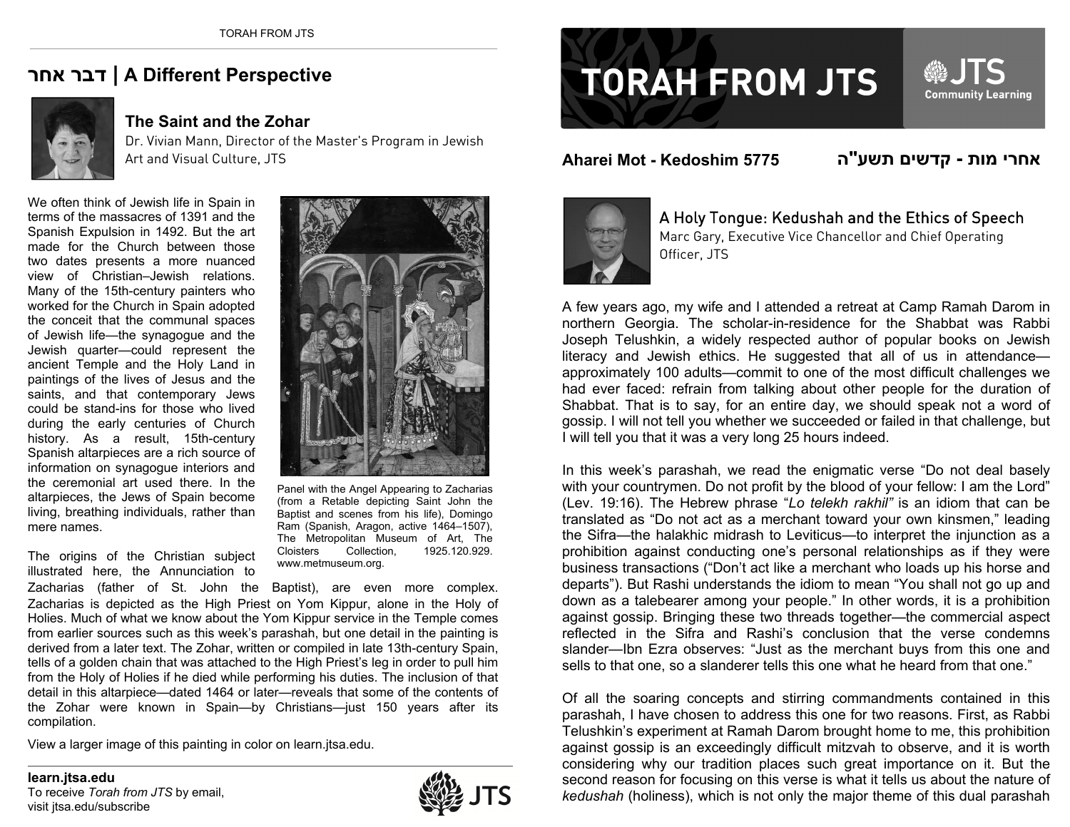## **אחר דבר | A Different Perspective**



## **The Saint and the Zohar**

Dr. Vivian Mann, Director of the Master's Program in Jewish Art and Visual Culture, JTS

We often think of Jewish life in Spain in terms of the massacres of 1391 and the Spanish Expulsion in 1492. But the art made for the Church between those two dates presents a more nuanced view of Christian–Jewish relations. Many of the 15th-century painters who worked for the Church in Spain adopted the conceit that the communal spaces of Jewish life—the synagogue and the Jewish quarter—could represent the ancient Temple and the Holy Land in paintings of the lives of Jesus and the saints, and that contemporary Jews could be stand-ins for those who lived during the early centuries of Church history. As a result, 15th-century Spanish altarpieces are a rich source of information on synagogue interiors and the ceremonial art used there. In the altarpieces, the Jews of Spain become living, breathing individuals, rather than mere names.



Panel with the Angel Appearing to Zacharias (from a Retable depicting Saint John the Baptist and scenes from his life), Domingo Ram (Spanish, Aragon, active 1464–1507), The Metropolitan Museum of Art, The Cloisters Collection, 1925.120.929. www.metmuseum.org.

The origins of the Christian subject illustrated here, the Annunciation to

Zacharias (father of St. John the Baptist), are even more complex. Zacharias is depicted as the High Priest on Yom Kippur, alone in the Holy of Holies. Much of what we know about the Yom Kippur service in the Temple comes from earlier sources such as this week's parashah, but one detail in the painting is derived from a later text. The Zohar, written or compiled in late 13th-century Spain, tells of a golden chain that was attached to the High Priest's leg in order to pull him from the Holy of Holies if he died while performing his duties. The inclusion of that detail in this altarpiece—dated 1464 or later—reveals that some of the contents of the Zohar were known in Spain—by Christians—just 150 years after its compilation.

View a larger image of this painting in color on learn.jtsa.edu.



## **TORAH FROM JTS**

**Aharei Mot - Kedoshim 5775**

**האחרי מות - קדשים תשע"**

**@JTS** 

Community Learning



A Holy Tongue: Kedushah and the Ethics of Speech Marc Gary, Executive Vice Chancellor and Chief Operating Officer, JTS

A few years ago, my wife and I attended a retreat at Camp Ramah Darom in northern Georgia. The scholar-in-residence for the Shabbat was Rabbi Joseph Telushkin, a widely respected author of popular books on Jewish literacy and Jewish ethics. He suggested that all of us in attendance approximately 100 adults—commit to one of the most difficult challenges we had ever faced: refrain from talking about other people for the duration of Shabbat. That is to say, for an entire day, we should speak not a word of gossip. I will not tell you whether we succeeded or failed in that challenge, but I will tell you that it was a very long 25 hours indeed.

In this week's parashah, we read the enigmatic verse "Do not deal basely with your countrymen. Do not profit by the blood of your fellow: I am the Lord" (Lev. 19:16). The Hebrew phrase "*Lo telekh rakhil"* is an idiom that can be translated as "Do not act as a merchant toward your own kinsmen," leading the Sifra—the halakhic midrash to Leviticus—to interpret the injunction as a prohibition against conducting one's personal relationships as if they were business transactions ("Don't act like a merchant who loads up his horse and departs"). But Rashi understands the idiom to mean "You shall not go up and down as a talebearer among your people." In other words, it is a prohibition against gossip. Bringing these two threads together—the commercial aspect reflected in the Sifra and Rashi's conclusion that the verse condemns slander—Ibn Ezra observes: "Just as the merchant buys from this one and sells to that one, so a slanderer tells this one what he heard from that one."

Of all the soaring concepts and stirring commandments contained in this parashah, I have chosen to address this one for two reasons. First, as Rabbi Telushkin's experiment at Ramah Darom brought home to me, this prohibition against gossip is an exceedingly difficult mitzvah to observe, and it is worth considering why our tradition places such great importance on it. But the second reason for focusing on this verse is what it tells us about the nature of *kedushah* (holiness), which is not only the major theme of this dual parashah